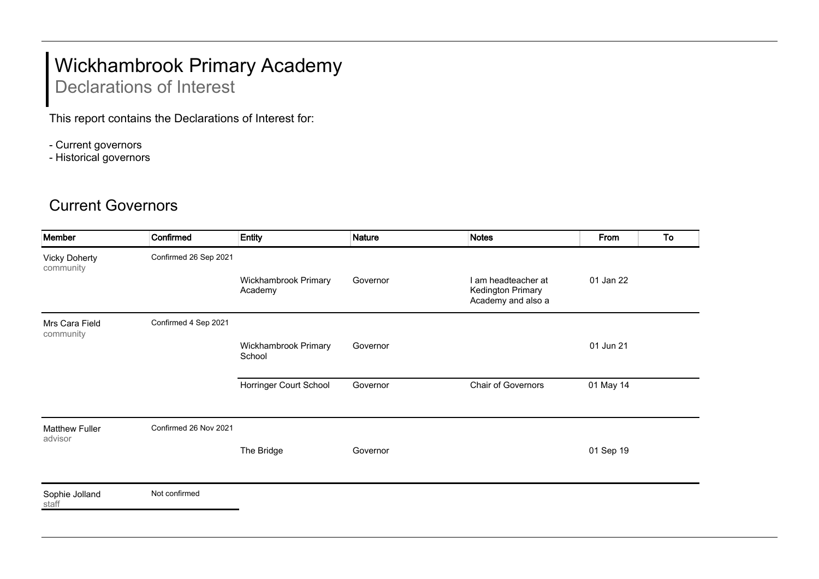## Wickhambrook Primary Academy

## Declarations of Interest

This report contains the Declarations of Interest for:

- Current governors
- Historical governors

## Current Governors

| Member                            | Confirmed             | <b>Entity</b>                   | <b>Nature</b> | <b>Notes</b>                                                   | From      | To |
|-----------------------------------|-----------------------|---------------------------------|---------------|----------------------------------------------------------------|-----------|----|
| <b>Vicky Doherty</b><br>community | Confirmed 26 Sep 2021 |                                 |               |                                                                |           |    |
|                                   |                       | Wickhambrook Primary<br>Academy | Governor      | I am headteacher at<br>Kedington Primary<br>Academy and also a | 01 Jan 22 |    |
| Mrs Cara Field<br>community       | Confirmed 4 Sep 2021  |                                 |               |                                                                |           |    |
|                                   |                       | Wickhambrook Primary<br>School  | Governor      |                                                                | 01 Jun 21 |    |
|                                   |                       | Horringer Court School          | Governor      | Chair of Governors                                             | 01 May 14 |    |
| <b>Matthew Fuller</b><br>advisor  | Confirmed 26 Nov 2021 |                                 |               |                                                                |           |    |
|                                   |                       | The Bridge                      | Governor      |                                                                | 01 Sep 19 |    |
| Sophie Jolland<br>staff           | Not confirmed         |                                 |               |                                                                |           |    |
|                                   |                       |                                 |               |                                                                |           |    |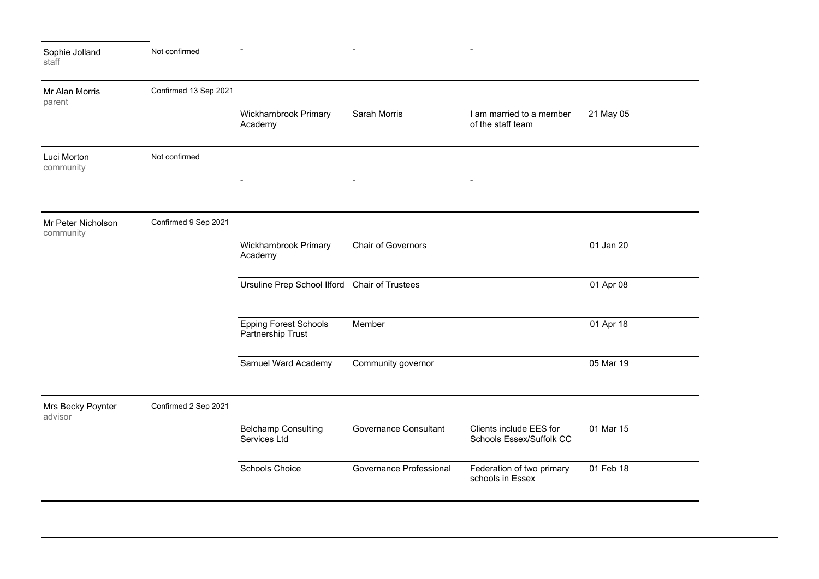| Sophie Jolland<br>staff         | Not confirmed         | $\blacksquare$                                    | $\overline{\phantom{0}}$     | $\overline{\phantom{0}}$                            |           |
|---------------------------------|-----------------------|---------------------------------------------------|------------------------------|-----------------------------------------------------|-----------|
| Mr Alan Morris<br>parent        | Confirmed 13 Sep 2021 |                                                   |                              |                                                     |           |
|                                 |                       | Wickhambrook Primary<br>Academy                   | Sarah Morris                 | I am married to a member<br>of the staff team       | 21 May 05 |
| Luci Morton<br>community        | Not confirmed         |                                                   |                              |                                                     |           |
|                                 |                       |                                                   |                              |                                                     |           |
| Mr Peter Nicholson<br>community | Confirmed 9 Sep 2021  |                                                   |                              |                                                     |           |
|                                 |                       | Wickhambrook Primary<br>Academy                   | <b>Chair of Governors</b>    |                                                     | 01 Jan 20 |
|                                 |                       | Ursuline Prep School Ilford Chair of Trustees     |                              |                                                     | 01 Apr 08 |
|                                 |                       | <b>Epping Forest Schools</b><br>Partnership Trust | Member                       |                                                     | 01 Apr 18 |
|                                 |                       | Samuel Ward Academy                               | Community governor           |                                                     | 05 Mar 19 |
| Mrs Becky Poynter<br>advisor    | Confirmed 2 Sep 2021  |                                                   |                              |                                                     |           |
|                                 |                       | <b>Belchamp Consulting</b><br>Services Ltd        | <b>Governance Consultant</b> | Clients include EES for<br>Schools Essex/Suffolk CC | 01 Mar 15 |
|                                 |                       | <b>Schools Choice</b>                             | Governance Professional      | Federation of two primary<br>schools in Essex       | 01 Feb 18 |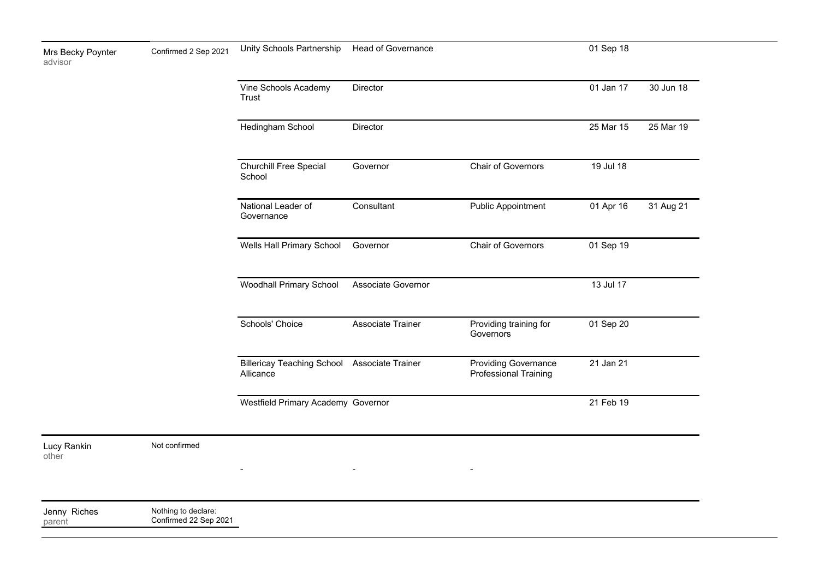| Mrs Becky Poynter<br>advisor | Confirmed 2 Sep 2021 | Unity Schools Partnership               | Head of Governance |                           | 01 Sep 18 |           |
|------------------------------|----------------------|-----------------------------------------|--------------------|---------------------------|-----------|-----------|
|                              |                      | Vine Schools Academy<br>Trust           | <b>Director</b>    |                           | 01 Jan 17 | 30 Jun 18 |
|                              |                      | Hedingham School                        | <b>Director</b>    |                           | 25 Mar 15 | 25 Mar 19 |
|                              |                      | <b>Churchill Free Special</b><br>School | Governor           | <b>Chair of Governors</b> | 19 Jul 18 |           |

- - -

| National Leader of<br>Governance               | Consultant         | <b>Public Appointment</b>                                   | 01 Apr 16 | 31 Aug 21 |
|------------------------------------------------|--------------------|-------------------------------------------------------------|-----------|-----------|
| Wells Hall Primary School                      | Governor           | <b>Chair of Governors</b>                                   | 01 Sep 19 |           |
| <b>Woodhall Primary School</b>                 | Associate Governor |                                                             | 13 Jul 17 |           |
| Schools' Choice                                | Associate Trainer  | Providing training for<br>Governors                         | 01 Sep 20 |           |
| <b>Billericay Teaching School</b><br>Allicance | Associate Trainer  | <b>Providing Governance</b><br><b>Professional Training</b> | 21 Jan 21 |           |
| Westfield Primary Academy Governor             |                    |                                                             | 21 Feb 19 |           |

Lucy Rankin

other

Not confirmed

Jenny Riches Nothing to declare:

parent Confirmed 22 Sep 2021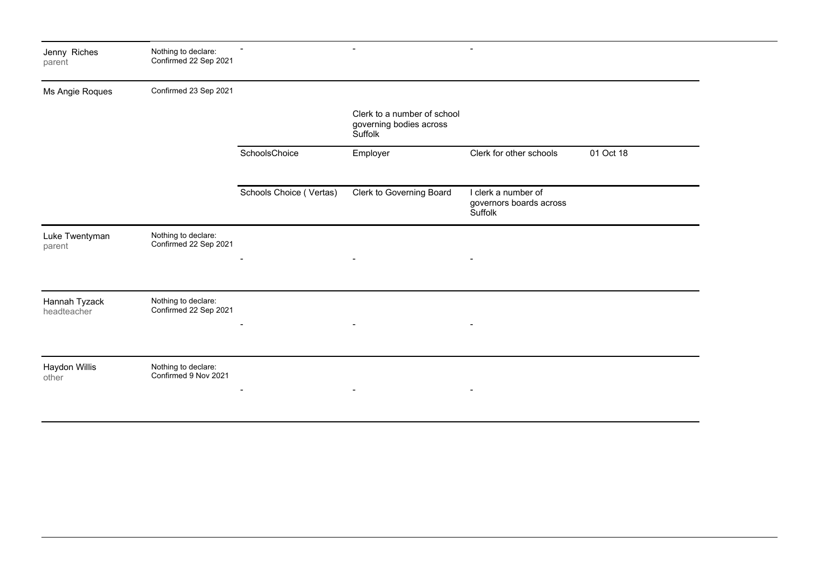| Jenny Riches<br>parent       | Nothing to declare:<br>Confirmed 22 Sep 2021 |                         | $\blacksquare$                                                    |                                                           |           |
|------------------------------|----------------------------------------------|-------------------------|-------------------------------------------------------------------|-----------------------------------------------------------|-----------|
| Ms Angie Roques              | Confirmed 23 Sep 2021                        |                         |                                                                   |                                                           |           |
|                              |                                              |                         | Clerk to a number of school<br>governing bodies across<br>Suffolk |                                                           |           |
|                              |                                              | SchoolsChoice           | Employer                                                          | Clerk for other schools                                   | 01 Oct 18 |
|                              |                                              | Schools Choice (Vertas) | Clerk to Governing Board                                          | I clerk a number of<br>governors boards across<br>Suffolk |           |
| Luke Twentyman<br>parent     | Nothing to declare:<br>Confirmed 22 Sep 2021 |                         |                                                                   |                                                           |           |
|                              |                                              |                         |                                                                   |                                                           |           |
| Hannah Tyzack<br>headteacher | Nothing to declare:<br>Confirmed 22 Sep 2021 |                         |                                                                   |                                                           |           |
| Haydon Willis<br>other       | Nothing to declare:<br>Confirmed 9 Nov 2021  |                         | $\blacksquare$                                                    |                                                           |           |